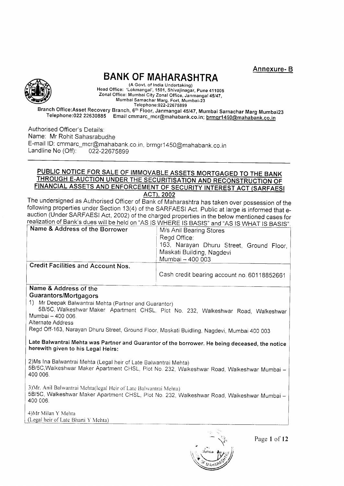Annexure- B



# BANK OF MAHARASHTRA

(A Govt. of India Undertaking) Head Office: 'Lokmangal', 1501, Shivajinagar, Pune 411005 Zonal Office: Mumbai City Zonal Office, Janmangal 45/47, Mumbai Samachar Marg, Fort, Mumbai-23

Te lephone:022-226758 9 9 Telephone:022 22630885 Email cmmarc\_mcr@mahabank.co.in; brmgr1450@mahabank.co.in

Authorised Officer's Details: Name: Mr Rohit Sahasrabudhe E-mail ID: cmmarc\_mcr@mahabank.co.in, brmgr1450@mahabank.co.in<br>Landline No (Off): 022-22675899

# THROUGH E-AUCTION UNDER THE SECURITISATION AND RECONSTRUCTION OF <u>FINANCIAL ASSETS AND ENFORCEMENT OF SECURITY INTEREST ACT (SARFAES</u> <u>CE FOR SALE OF IMMOVABLE ASSETS MORTGAGED TO THE BANK</u>

The undersigned as Authorised Officer of Bank of Maharashtra has taken over possession of the following properties under Section 13(4) of the SARFAESI Act. Public at large is informed that eauction (Under SARFAESI Act, 2002) of the charged properties in the below mentioned cases for realization of Bank's dues will be held on "AS IS WHERE IS BASIS" and "AS IS WHAT IS BASIS"

| Name & Address of the Borrower            | M/s Anil Bearing Stores<br>Regd Office:<br>163, Narayan Dhuru Street, Ground Floor,<br>Maskati Building, Nagdevi<br>Mumbai - 400 003 |
|-------------------------------------------|--------------------------------------------------------------------------------------------------------------------------------------|
| <b>Credit Facilities and Account Nos.</b> | Cash credit bearing account no 60118852661                                                                                           |

#### Name & Address of the Guarantors/Mortgagors

1) Mr Deepak Balwantrai Mehta (Partner and Guarantor)

5B/5C, Walkeshwar Maker Apartment CHSL, Plot No. 232, Walkeshwar Road, Walkeshwar Mumbai - 400 006.

Alternate Address

Regd Off-163, Narayan Dhuru Street, Ground Floor, Maskati Buidling, Nagdevi, Mumbai 400 003

### Late Balwantrai Mehta was Partner and Guarantor of the borrower. He being deceased, the notice herewith given to his Legal Heirs:

2) Ms Ina Balwantrai Mehta (Legal heir of Late Balwantrai Mehta) 5B/5C, Walkeshwar Maker Apartment CHSL, Plot No. 232, Walkeshwar Road, Walkeshwar Mumbai -400 006.

3) Mr. Anil Balwantrai Mehta(legal Heir of Late Balwantrai Mehta) 5B/5C, Walkeshwar Maker Apartment CHSL, Plot No. 232, Walkeshwar Road, Walkeshwar Mumbai -400 006.

4)Mr Milan Y Mehta (Legal heir of Late Bharti Y Mehta)

Page 1 of 12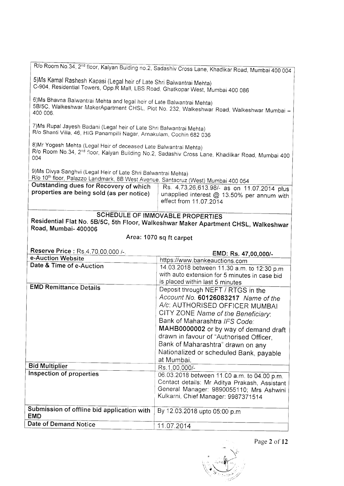|                                                                                                                                                                                      | R/o Room No.34, 2 <sup>nd</sup> floor, Kalyan Buiding no.2, Sadashiv Cross Lane, Khadikar Road, Mumbai 400 004     |  |  |  |  |  |
|--------------------------------------------------------------------------------------------------------------------------------------------------------------------------------------|--------------------------------------------------------------------------------------------------------------------|--|--|--|--|--|
|                                                                                                                                                                                      |                                                                                                                    |  |  |  |  |  |
| 5) Ms Kamal Rashesh Kapasi (Legal heir of Late Shri Balwantrai Mehta)<br>C-904, Residential Towers, Opp.R Mall, LBS Road, Ghatkopar West, Mumbai 400 086                             |                                                                                                                    |  |  |  |  |  |
| 6) Ms Bhavna Balwantrai Mehta and legal heir of Late Balwantrai Mehta)<br>5B/5C, Walkeshwar MakerApartment CHSL, Plot No. 232, Walkeshwar Road, Walkeshwar Mumbai -<br>400 006.      |                                                                                                                    |  |  |  |  |  |
| 7) Ms Rupal Jayesh Badani (Legal heir of Late Shri Balwantrai Mehta)<br>R/o Shanti Villa, 46, HIG Panampilli Nagar, Arnakulam, Cochin 682 036                                        |                                                                                                                    |  |  |  |  |  |
| 8) Mr Yogesh Mehta (Legal Heir of deceased Late Balwantrai Mehta)<br>004                                                                                                             | R/o Room No.34, 2 <sup>nd</sup> floor, Kalyan Building No.2, Sadashiv Cross Lane, Khadilkar Road, Mumbai 400       |  |  |  |  |  |
| 9) Ms Divya Sanghvi (Legal Heir of Late Shri Balwantrai Mehta)                                                                                                                       |                                                                                                                    |  |  |  |  |  |
| R/o 10 <sup>th</sup> floor, Palazzo Landmark, 8B West Avenue, Santacruz (West) Mumbai 400 054<br>Outstanding dues for Recovery of which<br>properties are being sold (as per notice) | Rs. 4,73,26,613.98/- as on 11.07.2014 plus<br>unapplied interest @ 13.50% per annum with<br>effect from 11.07.2014 |  |  |  |  |  |
|                                                                                                                                                                                      |                                                                                                                    |  |  |  |  |  |
| SCHEDULE OF IMMOVABLE PROPERTIES<br>Residential Flat No. 5B/5C, 5th Floor, Walkeshwar Maker Apartment CHSL, Walkeshwar                                                               |                                                                                                                    |  |  |  |  |  |
| Road, Mumbai- 400006                                                                                                                                                                 |                                                                                                                    |  |  |  |  |  |
|                                                                                                                                                                                      | Area: 1070 sq ft carpet                                                                                            |  |  |  |  |  |
|                                                                                                                                                                                      |                                                                                                                    |  |  |  |  |  |
| Reserve Price: Rs.4,70,00,000 /-.                                                                                                                                                    | EMD: Rs. 47,00,000/-                                                                                               |  |  |  |  |  |
| e-Auction Website                                                                                                                                                                    | https://www.bankeauctions.com                                                                                      |  |  |  |  |  |
| Date & Time of e-Auction                                                                                                                                                             | 14.03.2018 between 11.30 a.m. to 12:30 p.m.                                                                        |  |  |  |  |  |
|                                                                                                                                                                                      | with auto extension for 5 minutes in case bid<br>is placed within last 5 minutes                                   |  |  |  |  |  |
| <b>EMD Remittance Details</b>                                                                                                                                                        | Deposit through NEFT / RTGS in the                                                                                 |  |  |  |  |  |
|                                                                                                                                                                                      | Account No. 60126083217 Name of the                                                                                |  |  |  |  |  |
|                                                                                                                                                                                      | A/c: AUTHORISED OFFICER MUMBAI                                                                                     |  |  |  |  |  |
|                                                                                                                                                                                      | CITY ZONE Name of the Beneficiary:                                                                                 |  |  |  |  |  |
|                                                                                                                                                                                      | Bank of Maharashtra IFS Code:                                                                                      |  |  |  |  |  |
|                                                                                                                                                                                      | MAHB0000002 or by way of demand draft                                                                              |  |  |  |  |  |
|                                                                                                                                                                                      | drawn in favour of "Authorised Officer,                                                                            |  |  |  |  |  |
|                                                                                                                                                                                      | Bank of Maharashtra" drawn on any                                                                                  |  |  |  |  |  |
|                                                                                                                                                                                      | Nationalized or scheduled Bank, payable                                                                            |  |  |  |  |  |
|                                                                                                                                                                                      | at Mumbai.                                                                                                         |  |  |  |  |  |
| <b>Bid Multiplier</b>                                                                                                                                                                | Rs.1,00,000/-                                                                                                      |  |  |  |  |  |
| Inspection of properties                                                                                                                                                             | 06.03.2018 between 11.00 a.m. to 04.00 p.m.                                                                        |  |  |  |  |  |
|                                                                                                                                                                                      | Contact details: Mr Aditya Prakash, Assistant                                                                      |  |  |  |  |  |
|                                                                                                                                                                                      | General Manager: 9890055110; Mrs Ashwini<br>Kulkarni, Chief Manager: 9987371514                                    |  |  |  |  |  |
|                                                                                                                                                                                      |                                                                                                                    |  |  |  |  |  |
| Submission of offline bid application with<br><b>EMD</b>                                                                                                                             | By 12.03.2018 upto 05:00 p.m                                                                                       |  |  |  |  |  |

 $\ddot{\mathbf{r}}$  $\hat{u}$  $\mathbb{R}^2$ ⊍‼u®<mark>∦</mark>{  $\sqrt{ }$  $\star$ . .<br>مرکز استخدامان به

Page 2 of 12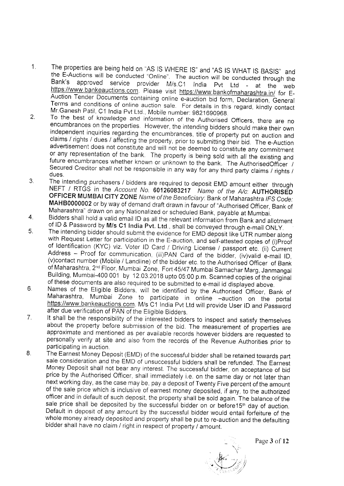- The properties are being held on "AS IS WHERE IS" and "AS IS WHAT IS BASIS" and  $1.$ the E-Auctions will be conducted "Online". The auction will be conducted through the approved service provider M/s.C1 India Pvt Ltd - at the web Bank's https://www.bankeauctions.com. Please visit https://www.bankofmaharashtra.in/ for E-Auction Tender Documents containing online e-auction bid form, Declaration, General Terms and conditions of online auction sale. For details in this regard, kindly contact Mr.Ganesh Patil, C1 India Pvt Ltd., Mobile number: 9821690968.
- $2.$ To the best of knowledge and information of the Authorised Officers, there are no encumbrances on the properties. However, the intending bidders should make their own independent inquiries regarding the encumbrances, title of property put on auction and claims / rights / dues / affecting the property, prior to submitting their bid. The e-Auction advertisement does not constitute and will not be deemed to constitute any commitment or any representation of the bank. The property is being sold with all the existing and future encumbrances whether known or unknown to the bank. The AuthorisedOfficer / Secured Creditor shall not be responsible in any way for any third party claims / rights / dues.
- The intending purchasers / bidders are required to deposit EMD amount either through  $3<sub>1</sub>$ NEFT / RTGS in the Account No. 60126083217 Name of the A/c: AUTHORISED OFFICER MUMBAI CITY ZONE Name of the Beneficiary: Bank of Maharashtra IFS Code: MAHB0000002 or by way of demand draft drawn in favour of "Authorised Officer, Bank of Maharashtra" drawn on any Nationalized or scheduled Bank, payable at Mumbai.
- Bidders shall hold a valid email ID as all the relevant information from Bank and allotment  $4<sub>1</sub>$ of ID & Password by M/s C1 India Pvt. Ltd., shall be conveyed through e-mail ONLY.
- The intending bidder should submit the evidence for EMD deposit like UTR number along 5. with Request Letter for participation in the E-auction, and self-attested copies of (i)Proof of Identification (KYC) viz. Voter ID Card / Driving License / passport etc. (ii) Current Address - Proof for communication, (iii)PAN Card of the bidder, (iv)valid e-mail ID, (v)contact number (Mobile / Landline) of the bidder etc. to the Authorised Officer of Bank of Maharashtra, 2<sup>nd</sup> Floor, Mumbai Zone, Fort 45/47 Mumbai Samachar Marg, Janmangal Building, Mumbai-400 001 by 12.03.2018 upto 05:00 p.m. Scanned copies of the original of these documents are also required to be submitted to e-mail id displayed above.
- Names of the Eligible Bidders, will be identified by the Authorised Officer, Bank of 6. Maharashtra, Mumbai Zone to participate in online -auction on the portal https://www.bankeauctions.com. M/s C1 India Pvt Ltd will provide User ID and Password after due verification of PAN of the Eligible Bidders.
- It shall be the responsibility of the interested bidders to inspect and satisfy themselves  $7<sub>1</sub>$ about the property before submission of the bid. The measurement of properties are approximate and mentioned as per available records however bidders are requested to personally verify at site and also from the records of the Revenue Authorities prior to participating in auction.
- 8. The Earnest Money Deposit (EMD) of the successful bidder shall be retained towards part sale consideration and the EMD of unsuccessful bidders shall be refunded. The Earnest Money Deposit shall not bear any interest. The successful bidder, on acceptance of bid price by the Authorised Officer, shall immediately i.e. on the same day or not later than next working day, as the case may be, pay a deposit of Twenty Five percent of the amount of the sale price which is inclusive of earnest money deposited, if any, to the authorized officer and in default of such deposit, the property shall be sold again. The balance of the sale price shall be deposited by the successful bidder on or before15<sup>th</sup> day of auction. Default in deposit of any amount by the successful bidder would entail forfeiture of the whole money already deposited and property shall be put to re-auction and the defaulting bidder shall have no claim / right in respect of property / amount.

Page 3 of 12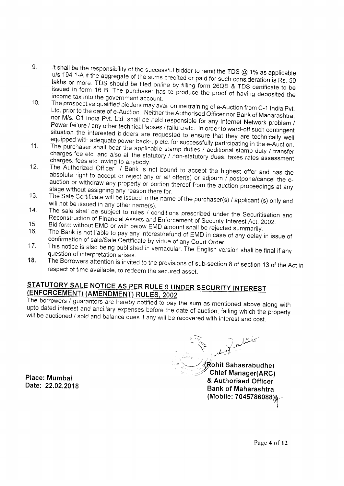- 9. It shall be the responsibility of the successful bidder to remit the TDS  $@$  1% as applicable lakhs or more. TDS should be filed online by filling form 26QB & TDS certificate to be<br>issued in form 16 B. The purchaser has to produce the proof of having deposited the 194 1-A if the aggregate of the sums credited or paid for such consideration is Rs. 50<br>S. Or more. TDS, should be filed as incentive to paid for such consideration is Rs. 50 issued in form 16 B. The purchaser has to produce the proof of having deposited the income tax into the government account
- 10. The prospective qualified bidders may avail online training of e-Auction from C-1 India Pvt.<br>Ltd. prior to the date of e-Auction. Neither the Authorised Officer nor Bank of Maharashtra,<br>nor M/s. C1 India Pvt. Ltd. shal Power failure / any other technical lapses / failure etc. In order to ward-off such contingent
- equipped with adequate power back-up etc. for successfully participating in the e-Auction.<br>The purchaser shall bear the applicable stamp duties / additional stamp duty / transfer
- 11. The purchaser shall bear the applicable stamp duties / additional stamp duty / transfer<br>charges fee etc. and also all the statutory / non-statutory dues, taxes rates assessment<br>charges, fees etc. owing to anybody.<br>12.
- 
- 
- 
- 15. Bid form without EMD or with below EMD amount shall be rejected summarily.<br>16. The Bank is not liable to pay any interest/refund of EMD in case of any delay confirmation of sale/Sale Certificate by virtue of any Court The Bank is not liable to pay any interest/refund of EMD in case of any delay in issue of confirmation of sale/Sale Certificate by virtue of any Court Order.<br>This notice is also being published in vernacular. The English v
- 
- 17. This notice is also being published in vernacular. The English version shall be final if any<br>question of interpretation arises.<br>18. The Borrowers attention is invited to the provisions of sub-section 8 of section 13 of

**STATUTORY SALE NOTICE AS PER RULE 9 UNDER SECURITY INTEREST**<br> **(ENFORCEMENT) (AMENDMENT) RULES, 2002**<br>
The borrowers / guarantors are hereby notified to pay the sum as mentioned above along with<br>
upto dated interest and a

Place: Mumbai Date: 22.02.2018

 $\overline{\phantom{a}}$  $\mathbb{Z}_2$  . respectively,  $\mathbb{Z}_2$  $\cdot$   $\frac{1}{2}$  $\sum_{\mu}$  Let  $\iota$  :  $\iota$ ..,':j ,,i,"  $\mathcal W$ ohit Sahasrabudhe) Chief Manager(ARC) & Authorised Officer Bank of Maharashtra (Mobile: 7045786088)

Page 4 of 12

I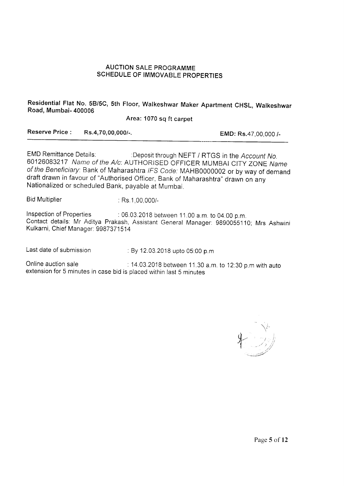### AUCTION SALE PROGRAMME SCHEDULE OF IMMOVABLE PROPERTIES

Residential Flat No. 5B/5C, 5th Floor, Walkeshwar Maker Apartment CHSL, Walkeshwar Road, Mumbai- 400006

Area: 1070 sq ft carpet

Reserve Price : Rs.4,70,00,000/-. EMD: Rs.47,00,000 /-

EMD Remittance Details: : :Deposit through NEFT / RTGS in the Account No. 60126083217 Name of the A/c: AUTHORISED OFFICER MUMBAI CITY ZONE Name of the Beneficiary: Bank of Maharashtra IFS Code: MAHB0000002 or by way of demand draft drawn in favour of "Authorised Officer, Bank of Maharashtra" drawn on any Nationalized or scheduled Bank, payable at Mumbai.

Bid Multiplier : Rs. 1,00,000/-

Inspection of Properties : 06.03.2018 between 11.00 a.m. to 04.00 p.m. Contact details: Mr Aditya Prakash, Assistant General Manager: 9890055110; Mrs Ashwlni Kulkarni, Chief Manager: 9987371514

Last date of submission . By 12.03.2018 upto 05:00 p.m

Online auction sale : 14.03.2018 between 11.30 a.m. to 12:30 p.m with auto extension for 5 minutes in case bid is placed within last 5 minutes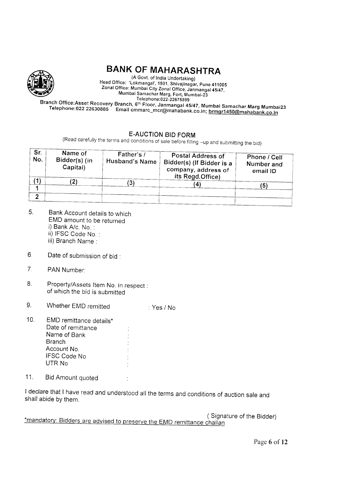

# BANK OF MAHARASHTRA

(A Govt. of India Undertaking)<br>Head Office: 'Lokmangal', 1501, Shivajinagar, Pune 411005 Head Office: Lokmangal, 150,, Shivajinagal, Lokachira, 2001<br>Zonal Office: Mumbai City Zonal Office, Janmangal 45/47,<br>Mumbai Samachar Marg, Fort, Mumbai-23<br>Telephone:022-22675899

Branch Office:Asset Recovery Branch, 6<sup>th</sup> Floor, Janmangal 45/47, Mumbai Samachar Marg Mumbai23 nch Office:Asset Recovery Branch, 6<sup>th </sup>Floor, Janmangal 45/47, Mumbai Samachar Marg Mumbai2:<br>Telephone:022 22630885 Email cmmarc\_mcr@mahabank.co.in; <u>brmgr14</u>50@mahabank.co.in

E-AUCTION BID FORM<br>(Read carefully the terms and conditions of sale before filling -up and submitting the bid)

| Sr.<br>No. | Name of<br>Bidder(s) (in<br>Capital) | Father's /<br>Husband's Name | <b>Postal Address of</b><br>Bidder(s) (If Bidder is a<br>company, address of<br>its Regd.Office) | Phone / Cell<br>Number and<br>email ID |  |
|------------|--------------------------------------|------------------------------|--------------------------------------------------------------------------------------------------|----------------------------------------|--|
|            |                                      | N                            |                                                                                                  | 15                                     |  |
|            |                                      |                              |                                                                                                  |                                        |  |

- Bank Account details to which EMD amount to be returned i) Bank A/c. No. : ii) IFSC Code No. : 6
	- iii) Branch Name :
- $6.$ Date of submission of bid :
- $\overline{7}$ . PAN Number:
- 8. Property/Assets ltem No. in respect : of which the bid is submitted
- 9. Whether EMD remitted : Yes / No
- EMD remittance details\* Date of remittance Name of Bank **Branch** Account No. IFSC Code No UTR No 10
- 11. Bid Amount quoted

I declare that I have read and understood all the terms and conditions of auction sale and shall abide by them.

Signature of the Bidder) \*mandatory: Bidders are advised to preserve the EMD remittance challan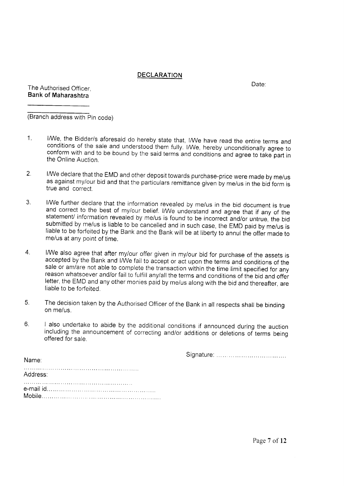### DECLARATION

Date: The Authorised Officer, Bank of Maharashtra

(Branch address with Pin code)

- 1. I/We, the Bidder/s aforesaid do hereby state that, I/We have read the entire terms and conditions of the sale and understood them fully. I/We, hereby unconditionally agree to conform with and to be bound by the said terms
- $2.$ I/We declare that the EMD and other deposit towards purchase-price were made by me/us as against my/our bid and that the particulars remittance given by me/us in the bid form is true and correct.
- I/We further declare that the information revealed by me/us in the bid document is true<br>and correct to the best of my/our belief. I/We understand and agree that if any of the<br>statement/ information revealed by me/us is fou  $3<sub>1</sub>$
- $\overline{4}$ . I/We also agree that after my/our offer given in my/our bid for purchase of the assets is accepted by the Bank and I/We fail to accept or act upon the terms and conditions of the sale or am/are not able to complete the tra letter, the EMD and any other monies paid by me/us along with the bid and thereafter, are liable to be forfeited.
- The decision taken by the Authorised Officer of the Bank in all respects shall be binding  $5<sub>1</sub>$ on me/us.
- 6. I also undertake to abide by the additional conditions if announced during the auction including the announcement of correcting and/or additions or deletions of terms being offered for sale.

Signature

| Address: |  |  |  |
|----------|--|--|--|
|          |  |  |  |

Name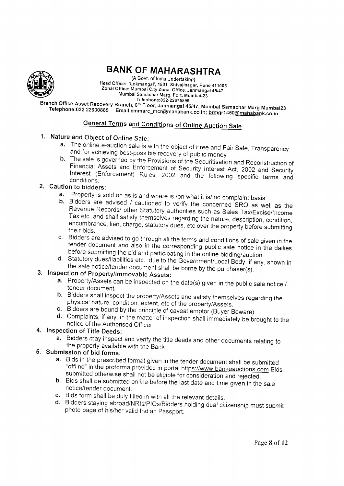

# **BANK OF MAHARASHTRA**

(A Govt. of India Undertaking) Head Office: 'Lokmangal', 1501, Shivajinagar, Pune 411005 Zonal Office: Mumbai City Zonal Office, Janmangal 45/47, Mumbai Samachar Marg, Fort, Mumbai-23 Telephone: 022-22675899

Branch Office:Asset Recovery Branch, 6<sup>th</sup> Floor, Janmangal 45/47, Mumbai Samachar Marg Mumbai23 Telephone:022 22630885 Email cmmarc\_mcr@mahabank.co.in; brmgr1450@mahabank.co.in

# **General Terms and Conditions of Online Auction Sale**

# 1. Nature and Object of Online Sale:

- a. The online e-auction sale is with the object of Free and Fair Sale, Transparency and for achieving best-possible recovery of public money.
- b. The sale is governed by the Provisions of the Securitisation and Reconstruction of Financial Assets and Enforcement of Security Interest Act, 2002 and Security Interest (Enforcement) Rules, 2002 and the following specific terms and conditions.

## 2. Caution to bidders:

- a. Property is sold on as is and where is /on what it is/ no complaint basis.
- b. Bidders are advised / cautioned to verify the concerned SRO as well as the Revenue Records/ other Statutory authorities such as Sales Tax/Excise/Income Tax etc. and shall satisfy themselves regarding the nature, description, condition, encumbrance, lien, charge, statutory dues, etc over the property before submitting their bids.
- c. Bidders are advised to go through all the terms and conditions of sale given in the tender document and also in the corresponding public sale notice in the dailies before submitting the bid and participating in the online bidding/auction.
- d. Statutory dues/liabilities etc., due to the Government/Local Body, if any, shown in the sale notice/tender document shall be borne by the purchaser(s).

# 3. Inspection of Property/Immovable Assets:

- a. Property/Assets can be inspected on the date(s) given in the public sale notice / tender document.
- b. Bidders shall inspect the property/Assets and satisfy themselves regarding the physical nature, condition, extent, etc of the property/Assets.
- c. Bidders are bound by the principle of caveat emptor (Buyer Beware).
- d. Complaints, if any, in the matter of inspection shall immediately be prought to the notice of the Authorised Officer.

# 4. Inspection of Title Deeds:

a. Bidders may inspect and verify the title deeds and other documents relating to the property available with the Bank

# 5. Submission of bid forms:

- a. Bids in the prescribed format given in the tender document shall be submitted "offline" in the proforma provided in portal https://www.bankeauctions.com Bids submitted otherwise shall not be eligible for consideration and rejected.
- b. Bids shall be submitted online before the last date and time given in the sale notice/tender document
- c. Bids form shall be duly filled in with all the relevant details.
- d. Bidders staying abroad/NRIs/PIOs/Bidders holding dual citizenship must submit photo page of his/her valid Indian Passport.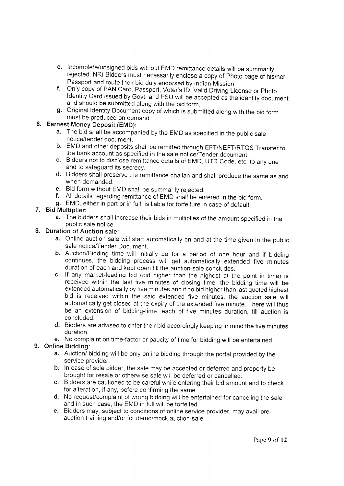- e. Incomplete/unsigned bids without EMD remittance details will be summarily rejected. NRI Bidders must necessarily enclose a copy of Photo page of his/her<br>Passport and route their bid duly endorsed by Indian Mission.
- f. Only copy of PAN Card, Passport, Voter's ID, Valid Driving License or Photo Identity Card issued by Govt. and PSU will be accepted as the identity document and should be submitted along with the bid form.
- g. Original ldentity Document copy of which is submitted along with the bid form must be produced on demand.

# 6. Earnest Money Deposit (EMD):

- a. The bid shall be accompanied by the EMD as specified in the public sale notice/tender document.
- b. EMD and other deposits shall be remitted through EFT/NEFT/RTGS Transfer to the bank account as specified in the sale notice/Tender document.
- c. Bidders not to disclose remittance details of EMD, UTR Code, etc. to any one and to safeguard its secrecy.
- d. Bidders shall preserve the remittance challan and shall produce the same as and when demanded
- e. Bid form without EMD shall be summarily rejected.
- f. All details regarding remittance of EMD shall be entered in the bid form.
- g. EMD, either in part or in full, is liable for forfeiture in case of default.

### 7. Bid Multiplier:

a. The bidders shall increase their bids in multiplies of the amount specified in the public sale notice.

### 8. Duration of Auction sale:

- a. Online auction sale will start automatically on and at the time given in the public sale notice/Tender Document.
- b. Auction/Bidding time will initially be for a period of one hour and if bidding continues, the bidding process will get automatically extended five minutes duration of each and kept open till the auction-sale concludes.
- c. If any market-leading bid (bid higher than the highest at the point in time) is received within the last five minutes of closing time, the bidding time will be extended automatically by five minutes and if no bid higher than last quoted highest bid is received within the said extended five minutes, the auction sale will automatically get closed at the expiry of the extended five minute. There will thus be an extension of bidding-time, each of five minutes duration, till auction is concluded.
- d. Bidders are advised to enter their bid accordingly keeping in mind the five minutes duration
- e. No complaint on time-factor or paucity of time for bidding will be entertained.

### 9. Online Bidding:

- a. Auction/ bidding will be only online bidding through the portal provided by the service provider.
- b. In case of sole bidder, the sale may be accepted or deferred and property be brought for resale or otherwise sale will be deferred or cancelled.
- c. Bidders are cautioned to be careful while entering their bid amount and to check for alteration, if any, before confirming the same.
- d. No request/complaint of wrong bidding will be entertained for canceling the sale and in such case, the EMD in full will be forfeited.
- e. Bidders may, subject to conditions of online service provider, may avail preauction training and/or for demo/mock auction-sale.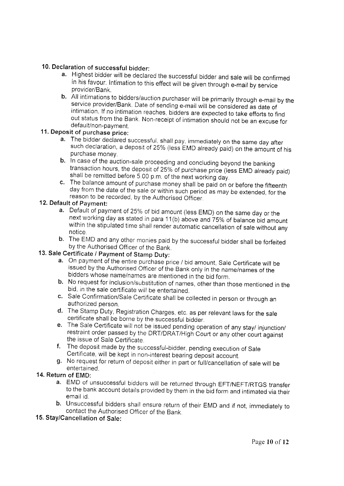- 10. Declaration of successful bidder:<br>a. Highest bidder will be declared the successful bidder and sale will be confirmed<br>in his favour. Intimation to this effect will be given through e-mail by service<br>provider/Bank.
- **b.** All intimations to bidders/auction purchaser will be primarily through e-mail by the service provider/Bank. Date of sending e-mail will be considered as date of intimation. If no intimation reaches, bidders are expect

- a. The bidder declared successful, shall pay, immediately on the same day after such declaration, a deposit of 25% (less EMD already paid) on the amount of his
- purchase money.<br>b. In case of the auction-sale proceeding and concluding beyond the banking transaction hours, the deposit of 25% of purchase price (less EMD already paid)<br>shall be remitted before 5.00 p.m. of the next working day.<br>c. The balance amount of purchase money shall be paid on or before the fifteenth<br>d
- reason to be recorded, by the Authorised Officer.<br>12. Default of Pavment:

- a. Default of payment of 25% of bid amount (less EMD) on the same day or the next working day as stated in para 11(b) above and 75% of balance bid amount within the stipulated time shall render automatic cancellation of sa
- b. The EMD and any other monies paid by the successful bidder shall be forfeited by the Authorised Officer of the Bank.

# 13. Sale Certificate / Payment of Stamp Duty:

- a. On payment of the entire purchase price / bid amount, Sale Certificate will be issued by the Authorised Officer of the Bank only in the name/names of the bidders whose name/names are mentioned in the bid form.
- b. No request for inclusion/substitution of names, other than those mentioned in the bid, in the sale certificate will be entertained.
- c. Sale Confirmation/Sale Certificate shall be collected in person or through an authorized person.
- d. The Stamp Duty, Registration Charges, etc. as per relevant laws for the sale<br>certificate shall be borne by the successful bidder.<br>e. The Sale Certificate will not be issued pending operation of any stay/ injunction/
- restraint order passed by the DRT/DRAT/High Court or any other court against the issue of Sale Certificate.
- f. The deposit made by the successful-bidder, pending execution of Sale<br>Certificate, will be kept in non-interest bearing deposit account.
- g. No request for return of deposit either in part or full/cancellation of sale will be<br>entertained.

### 14. Return of EMD:

- a. EMD of unsuccessful bidders will be returned through EFT/NEFT/RTGS transfer to the bank account details provided by them in the bid form and intimated via their email id.
- b. Unsuccessful bidders shall ensure return of their EMD and if not, immediately to contact the Authorised Officer of the Bank.

## 15. Stay/Cancellation of Sale: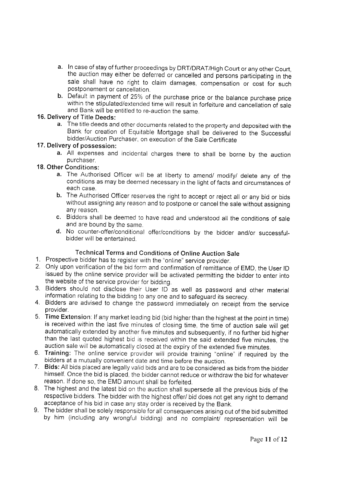- a. In case of stay of further proceedings by DRT/DRAT/High Court or any other Court, the auction may either be deferred or cancelled and persons participating in the sale shall have no right to claim damages, compensation or cost for such postponement or cancellation
- b. Default in payment of 25% of the purchase price or the balance purchase price within the stipulated/extended time will result in forfeiture and cancellation of sale and Bank will be entitled to re-auction the same.

### 16. Delivery of Title Deeds:

a. The title deeds and other documents related to the property and deposited with the Bank for creation of Equitable Mortgage shall be delivered to the Successful bidder/Auction Purchaser, on execution of the Sale Certificate

### 17. Delivery of possession:

a. All expenses and incidental charges there to shall be borne by the auction purchaser.

# 18. Other Conditions:

- a. The Authorised Officer will be at liberty to amend/ modify/ delete any of the conditions as may be deemed necessary in the light of facts and circumstances of each case.
- b. The Authorised Officer reserves the right to accept or reject all or any bid or bids without assigning any reason and to postpone or cancel the sale without assigning any reason.
- c. Bidders shall be deemed to have read and understood all the conditions of sale and are bound by the same.
- d. No counter-offer/conditional offer/conditions by the bidder and/or successfulbidder will be entertained.

## Technical Terms and Conditions of Online Auction Sale

- 1. Prospective bidder has to register with the "online" service provider.
- Only upon verification of the bid form and confirmation of remittance of EMD, the User lD 2. issued by the online service provider will be activated permitting the bidder to enter into the website of the service provider for bidding.
- 3. Bidders should not disclose their User ID as well as password and other material information relating to the bidding to any one and to safeguard its secrecy.
- 4. Bidders are advised to change the password immediately on receipt from the service provider.
- 5. Time Extension: If any market leading bid (bid higher than the highest at the point in time) is received within the last five minutes of closing time, the time of auction sale will get automatically extended by another five minutes and subsequently, if no further bid higher than the last quoted highest bid is received within the said extended five minutes, the auction sale will be automatically closed at the expiry of the extended five minutes.
- 6. Training: The online service provider will provide training "online" if required by the bidders at a mutually convenient date and time before the auction.
- 7. Bids: All bids placed are legally valid bids and are to be considered as bids from the bidder himself. Once the bid is placed, the bidder cannot reduce or withdraw the bid for whatever reason. If done so, the EMD amount shall be forfeited.
- 8. The highest and the latest bid on the auction shall supersede all the previous bids of the respective bidders. The bidder with the highest offer/ bid does not get any right to demand acceptance of his bid in case any stay order is received by the Bank.
- 9. The bidder shall be solely responsible for all consequences arising out of the bid submitted by him (including any wrongful bidding) and no complaint/ representation will be